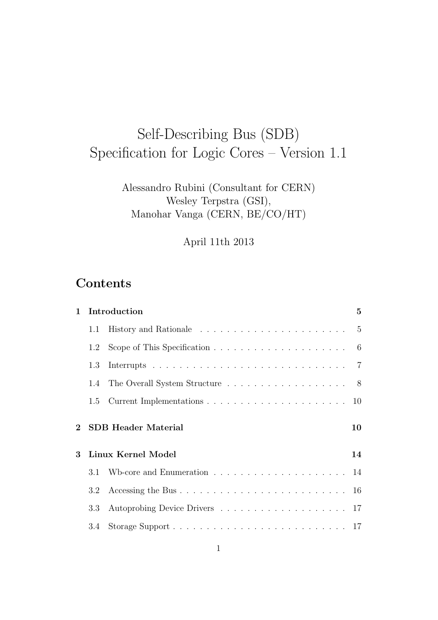# Self-Describing Bus (SDB) Specification for Logic Cores – Version 1.1

## Alessandro Rubini (Consultant for CERN) Wesley Terpstra (GSI), Manohar Vanga (CERN, BE/CO/HT)

April 11th 2013

# **Contents**

| $\mathbf{1}$ |               | $5\overline{)}$<br>Introduction                                                       |    |  |  |  |  |  |  |  |  |
|--------------|---------------|---------------------------------------------------------------------------------------|----|--|--|--|--|--|--|--|--|
|              | 1.1           |                                                                                       |    |  |  |  |  |  |  |  |  |
|              | 1.2           | Scope of This Specification $\ldots \ldots \ldots \ldots \ldots \ldots \ldots \ldots$ |    |  |  |  |  |  |  |  |  |
|              | 1.3           |                                                                                       |    |  |  |  |  |  |  |  |  |
|              | $1.4^{\circ}$ | The Overall System Structure 8                                                        |    |  |  |  |  |  |  |  |  |
|              |               |                                                                                       |    |  |  |  |  |  |  |  |  |
|              |               |                                                                                       |    |  |  |  |  |  |  |  |  |
| $2 -$        |               | <b>SDB</b> Header Material                                                            | 10 |  |  |  |  |  |  |  |  |
| 3            |               | Linux Kernel Model                                                                    | 14 |  |  |  |  |  |  |  |  |
|              | 3.1           |                                                                                       |    |  |  |  |  |  |  |  |  |
|              | 3.2           |                                                                                       |    |  |  |  |  |  |  |  |  |
|              | 3.3           |                                                                                       |    |  |  |  |  |  |  |  |  |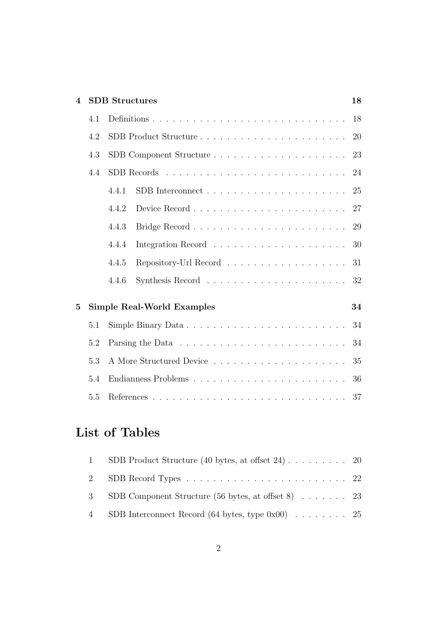| $\overline{\mathcal{A}}$ |     | <b>SDB</b> Structures<br>18       |    |  |  |  |  |  |  |
|--------------------------|-----|-----------------------------------|----|--|--|--|--|--|--|
|                          | 4.1 |                                   |    |  |  |  |  |  |  |
|                          | 4.2 | SDB Product Structure             | 20 |  |  |  |  |  |  |
|                          | 4.3 | SDB Component Structure           | 23 |  |  |  |  |  |  |
|                          | 4.4 |                                   | 24 |  |  |  |  |  |  |
|                          |     | 4.4.1                             | 25 |  |  |  |  |  |  |
|                          |     | 4.4.2                             | 27 |  |  |  |  |  |  |
|                          |     | 4.4.3                             | 29 |  |  |  |  |  |  |
|                          |     | 4.4.4                             | 30 |  |  |  |  |  |  |
|                          |     | Repository-Url Record<br>4.4.5    | 31 |  |  |  |  |  |  |
|                          |     | 4.4.6                             | 32 |  |  |  |  |  |  |
| $\overline{5}$           |     | <b>Simple Real-World Examples</b> | 34 |  |  |  |  |  |  |
|                          | 5.1 |                                   | 34 |  |  |  |  |  |  |
|                          | 5.2 |                                   | 34 |  |  |  |  |  |  |
|                          | 5.3 |                                   | 35 |  |  |  |  |  |  |
|                          | 5.4 | Endianness Problems               | 36 |  |  |  |  |  |  |
|                          | 5.5 |                                   | 37 |  |  |  |  |  |  |

# **List of Tables**

| 1 SDB Product Structure (40 bytes, at offset 24) 20  |  |
|------------------------------------------------------|--|
|                                                      |  |
| 3 SDB Component Structure (56 bytes, at offset 8) 23 |  |
| 4 SDB Interconnect Record (64 bytes, type 0x00) 25   |  |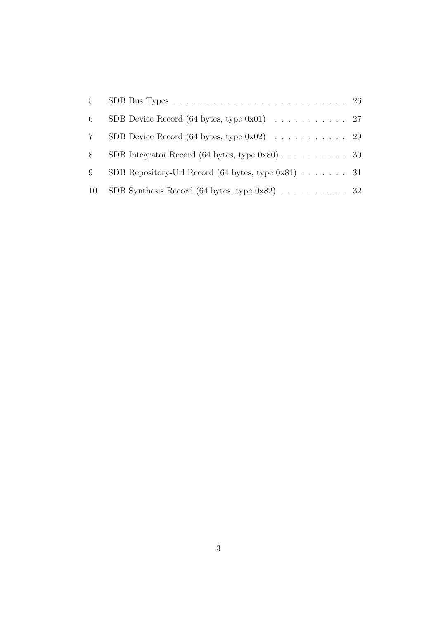| 6               | SDB Device Record (64 bytes, type $0x01$ ) 27         |  |
|-----------------|-------------------------------------------------------|--|
| $7\overline{ }$ | SDB Device Record (64 bytes, type $0x02$ ) 29         |  |
| 8               | SDB Integrator Record (64 bytes, type $0x80$ ) 30     |  |
| 9               | SDB Repository-Url Record (64 bytes, type $0x81$ ) 31 |  |
| 10              | SDB Synthesis Record (64 bytes, type $0x82$ ) 32      |  |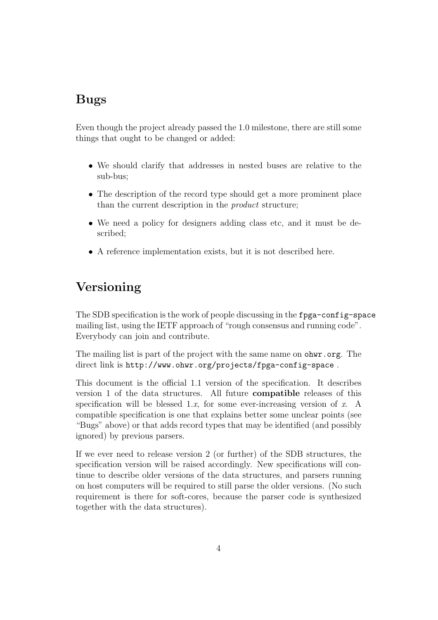## **Bugs**

Even though the project already passed the 1.0 milestone, there are still some things that ought to be changed or added:

- *•* We should clarify that addresses in nested buses are relative to the sub-bus;
- The description of the record type should get a more prominent place than the current description in the *product* structure;
- We need a policy for designers adding class etc, and it must be described;
- A reference implementation exists, but it is not described here.

# **Versioning**

The SDB specification is the work of people discussing in the fpga-config-space mailing list, using the IETF approach of "rough consensus and running code". Everybody can join and contribute.

The mailing list is part of the project with the same name on ohwr.org. The direct link is http://www.ohwr.org/projects/fpga-config-space .

This document is the official 1.1 version of the specification. It describes version 1 of the data structures. All future **compatible** releases of this specification will be blessed 1.*x*, for some ever-increasing version of *x*. A compatible specification is one that explains better some unclear points (see "Bugs" above) or that adds record types that may be identified (and possibly ignored) by previous parsers.

If we ever need to release version 2 (or further) of the SDB structures, the specification version will be raised accordingly. New specifications will continue to describe older versions of the data structures, and parsers running on host computers will be required to still parse the older versions. (No such requirement is there for soft-cores, because the parser code is synthesized together with the data structures).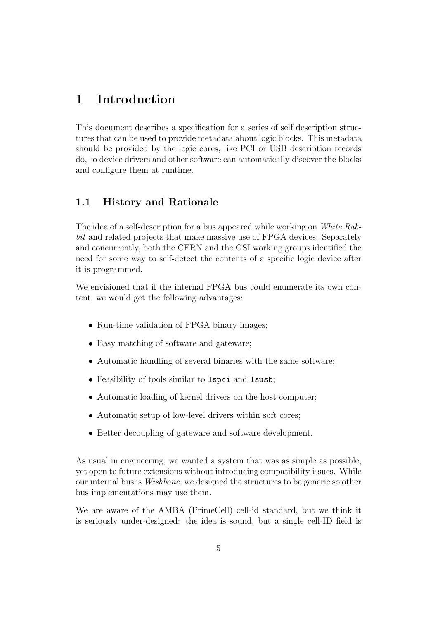## **1 Introduction**

This document describes a specification for a series of self description structures that can be used to provide metadata about logic blocks. This metadata should be provided by the logic cores, like PCI or USB description records do, so device drivers and other software can automatically discover the blocks and configure them at runtime.

## **1.1 History and Rationale**

The idea of a self-description for a bus appeared while working on *White Rabbit* and related projects that make massive use of FPGA devices. Separately and concurrently, both the CERN and the GSI working groups identified the need for some way to self-detect the contents of a specific logic device after it is programmed.

We envisioned that if the internal FPGA bus could enumerate its own content, we would get the following advantages:

- Run-time validation of FPGA binary images;
- Easy matching of software and gateware;
- Automatic handling of several binaries with the same software:
- Feasibility of tools similar to 1spci and 1susb;
- Automatic loading of kernel drivers on the host computer;
- Automatic setup of low-level drivers within soft cores;
- Better decoupling of gateware and software development.

As usual in engineering, we wanted a system that was as simple as possible, yet open to future extensions without introducing compatibility issues. While our internal bus is *Wishbone*, we designed the structures to be generic so other bus implementations may use them.

We are aware of the AMBA (PrimeCell) cell-id standard, but we think it is seriously under-designed: the idea is sound, but a single cell-ID field is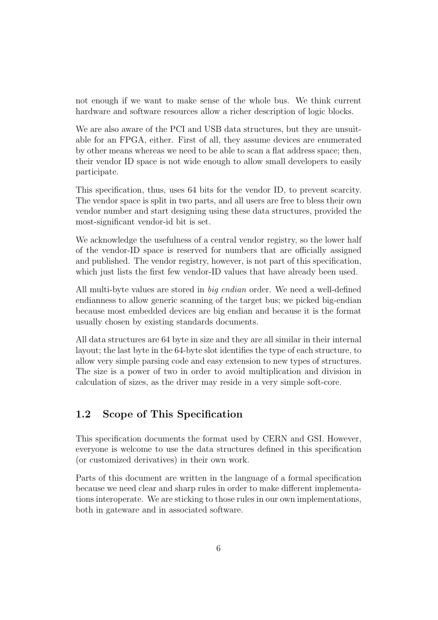not enough if we want to make sense of the whole bus. We think current hardware and software resources allow a richer description of logic blocks.

We are also aware of the PCI and USB data structures, but they are unsuitable for an FPGA, either. First of all, they assume devices are enumerated by other means whereas we need to be able to scan a flat address space; then, their vendor ID space is not wide enough to allow small developers to easily participate.

This specification, thus, uses 64 bits for the vendor ID, to prevent scarcity. The vendor space is split in two parts, and all users are free to bless their own vendor number and start designing using these data structures, provided the most-significant vendor-id bit is set.

We acknowledge the usefulness of a central vendor registry, so the lower half of the vendor-ID space is reserved for numbers that are officially assigned and published. The vendor registry, however, is not part of this specification, which just lists the first few vendor-ID values that have already been used.

All multi-byte values are stored in *big endian* order. We need a well-defined endianness to allow generic scanning of the target bus; we picked big-endian because most embedded devices are big endian and because it is the format usually chosen by existing standards documents.

All data structures are 64 byte in size and they are all similar in their internal layout; the last byte in the 64-byte slot identifies the type of each structure, to allow very simple parsing code and easy extension to new types of structures. The size is a power of two in order to avoid multiplication and division in calculation of sizes, as the driver may reside in a very simple soft-core.

## **1.2 Scope of This Specification**

This specification documents the format used by CERN and GSI. However, everyone is welcome to use the data structures defined in this specification (or customized derivatives) in their own work.

Parts of this document are written in the language of a formal specification because we need clear and sharp rules in order to make different implementations interoperate. We are sticking to those rules in our own implementations, both in gateware and in associated software.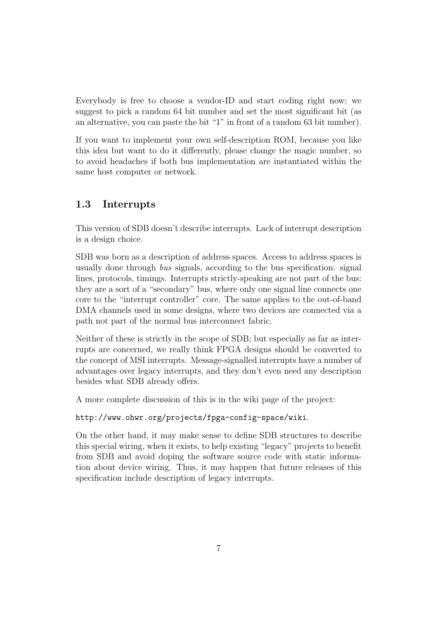Everybody is free to choose a vendor-ID and start coding right now; we suggest to pick a random 64 bit number and set the most significant bit (as an alternative, you can paste the bit "1" in front of a random 63 bit number).

If you want to implement your own self-description ROM, because you like this idea but want to do it differently, please change the magic number, so to avoid headaches if both bus implementation are instantiated within the same host computer or network.

## **1.3 Interrupts**

This version of SDB doesn't describe interrupts. Lack of interrupt description is a design choice.

SDB was born as a description of address spaces. Access to address spaces is usually done through *bus* signals, according to the bus specification: signal lines, protocols, timings. Interrupts strictly-speaking are not part of the bus: they are a sort of a "secondary" bus, where only one signal line connects one core to the "interrupt controller" core. The same applies to the out-of-band DMA channels used in some designs, where two devices are connected via a path not part of the normal bus interconnect fabric.

Neither of these is strictly in the scope of SDB; but especially as far as interrupts are concerned, we really think FPGA designs should be converted to the concept of MSI interrupts. Message-signalled interrupts have a number of advantages over legacy interrupts, and they don't even need any description besides what SDB already offers.

A more complete discussion of this is in the wiki page of the project:

http://www.ohwr.org/projects/fpga-config-space/wiki.

On the other hand, it may make sense to define SDB structures to describe this special wiring, when it exists, to help existing "legacy" projects to benefit from SDB and avoid doping the software source code with static information about device wiring. Thus, it may happen that future releases of this specification include description of legacy interrupts.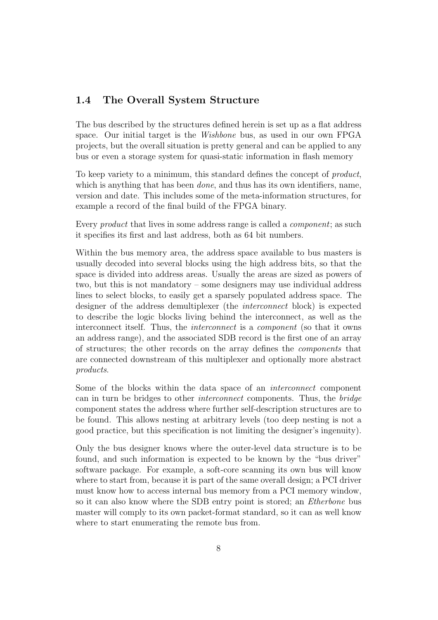## **1.4 The Overall System Structure**

The bus described by the structures defined herein is set up as a flat address space. Our initial target is the *Wishbone* bus, as used in our own FPGA projects, but the overall situation is pretty general and can be applied to any bus or even a storage system for quasi-static information in flash memory

To keep variety to a minimum, this standard defines the concept of *product*, which is anything that has been *done*, and thus has its own identifiers, name, version and date. This includes some of the meta-information structures, for example a record of the final build of the FPGA binary.

Every *product* that lives in some address range is called a *component*; as such it specifies its first and last address, both as 64 bit numbers.

Within the bus memory area, the address space available to bus masters is usually decoded into several blocks using the high address bits, so that the space is divided into address areas. Usually the areas are sized as powers of two, but this is not mandatory – some designers may use individual address lines to select blocks, to easily get a sparsely populated address space. The designer of the address demultiplexer (the *interconnect* block) is expected to describe the logic blocks living behind the interconnect, as well as the interconnect itself. Thus, the *interconnect* is a *component* (so that it owns an address range), and the associated SDB record is the first one of an array of structures; the other records on the array defines the *components* that are connected downstream of this multiplexer and optionally more abstract *products*.

Some of the blocks within the data space of an *interconnect* component can in turn be bridges to other *interconnect* components. Thus, the *bridge* component states the address where further self-description structures are to be found. This allows nesting at arbitrary levels (too deep nesting is not a good practice, but this specification is not limiting the designer's ingenuity).

Only the bus designer knows where the outer-level data structure is to be found, and such information is expected to be known by the "bus driver" software package. For example, a soft-core scanning its own bus will know where to start from, because it is part of the same overall design; a PCI driver must know how to access internal bus memory from a PCI memory window, so it can also know where the SDB entry point is stored; an *Etherbone* bus master will comply to its own packet-format standard, so it can as well know where to start enumerating the remote bus from.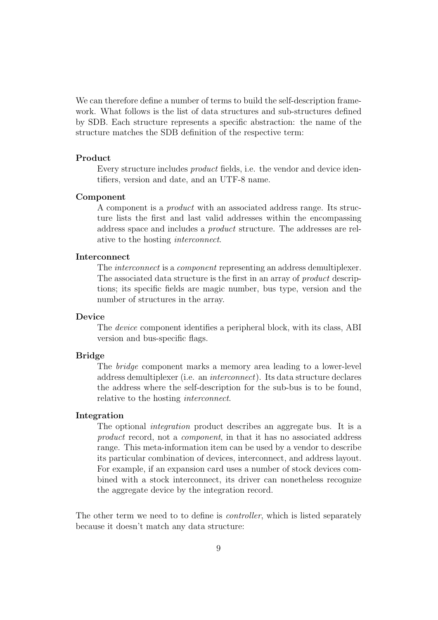We can therefore define a number of terms to build the self-description framework. What follows is the list of data structures and sub-structures defined by SDB. Each structure represents a specific abstraction: the name of the structure matches the SDB definition of the respective term:

#### **Product**

Every structure includes *product* fields, i.e. the vendor and device identifiers, version and date, and an UTF-8 name.

#### **Component**

A component is a *product* with an associated address range. Its structure lists the first and last valid addresses within the encompassing address space and includes a *product* structure. The addresses are relative to the hosting *interconnect*.

#### **Interconnect**

The *interconnect* is a *component* representing an address demultiplexer. The associated data structure is the first in an array of *product* descriptions; its specific fields are magic number, bus type, version and the number of structures in the array.

#### **Device**

The *device* component identifies a peripheral block, with its class, ABI version and bus-specific flags.

#### **Bridge**

The *bridge* component marks a memory area leading to a lower-level address demultiplexer (i.e. an *interconnect*). Its data structure declares the address where the self-description for the sub-bus is to be found, relative to the hosting *interconnect*.

#### **Integration**

The optional *integration* product describes an aggregate bus. It is a *product* record, not a *component*, in that it has no associated address range. This meta-information item can be used by a vendor to describe its particular combination of devices, interconnect, and address layout. For example, if an expansion card uses a number of stock devices combined with a stock interconnect, its driver can nonetheless recognize the aggregate device by the integration record.

The other term we need to to define is *controller*, which is listed separately because it doesn't match any data structure: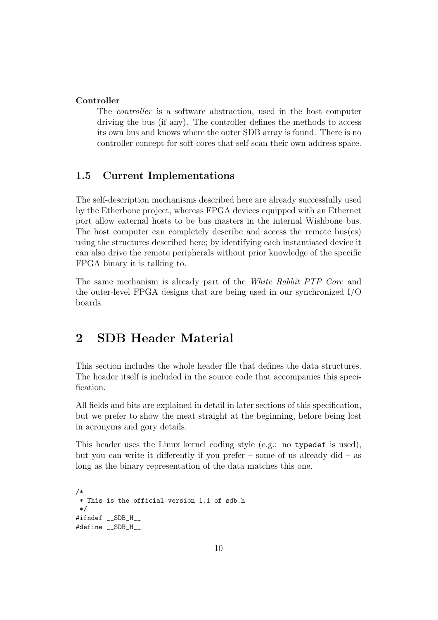#### **Controller**

The *controller* is a software abstraction, used in the host computer driving the bus (if any). The controller defines the methods to access its own bus and knows where the outer SDB array is found. There is no controller concept for soft-cores that self-scan their own address space.

### **1.5 Current Implementations**

The self-description mechanisms described here are already successfully used by the Etherbone project, whereas FPGA devices equipped with an Ethernet port allow external hosts to be bus masters in the internal Wishbone bus. The host computer can completely describe and access the remote bus(es) using the structures described here; by identifying each instantiated device it can also drive the remote peripherals without prior knowledge of the specific FPGA binary it is talking to.

The same mechanism is already part of the *White Rabbit PTP Core* and the outer-level FPGA designs that are being used in our synchronized I/O boards.

## **2 SDB Header Material**

This section includes the whole header file that defines the data structures. The header itself is included in the source code that accompanies this specification.

All fields and bits are explained in detail in later sections of this specification, but we prefer to show the meat straight at the beginning, before being lost in acronyms and gory details.

This header uses the Linux kernel coding style (e.g.: no typedef is used), but you can write it differently if you prefer – some of us already did – as long as the binary representation of the data matches this one.

```
/*
 * This is the official version 1.1 of sdb.h
 */
#ifndef __SDB_H__
#define __SDB_H__
```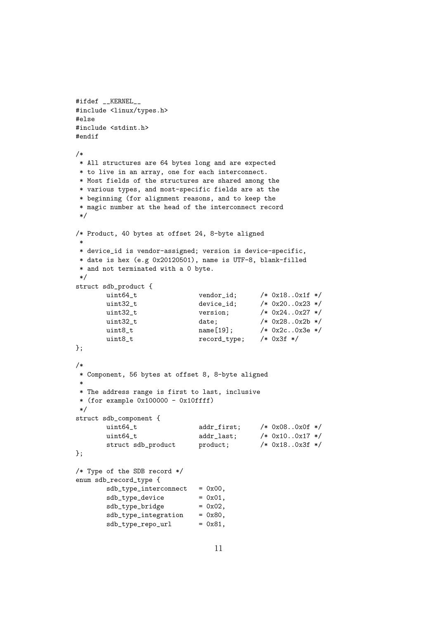```
#ifdef __KERNEL__
#include <linux/types.h>
#else
#include <stdint.h>
#endif
/*
 * All structures are 64 bytes long and are expected
 * to live in an array, one for each interconnect.
 * Most fields of the structures are shared among the
 * various types, and most-specific fields are at the
 * beginning (for alignment reasons, and to keep the
 * magic number at the head of the interconnect record
 */
/* Product, 40 bytes at offset 24, 8-byte aligned
 *
 * device_id is vendor-assigned; version is device-specific,
 * date is hex (e.g 0x20120501), name is UTF-8, blank-filled
 * and not terminated with a 0 byte.
 */
struct sdb_product {
       uint64_t vendor_id; /* 0x18..0x1f */
       uint32_t device_id; /* 0x20..0x23 */
       uint32 t version: /* 0x24..0x27 */
       uint32<sub>_</sub>t date; 4 \times 0x28...0x2b \times 140x25b + 160x2b + 160x2b + 160buint8_t name[19]; /* 0x2c..0x3e */
       uint8_t record_type; /* 0x3f */
};
/*
 * Component, 56 bytes at offset 8, 8-byte aligned
 *
 * The address range is first to last, inclusive
 * (for example 0x100000 - 0x10ffff)*/
struct sdb_component {
       uint64_t <br>addr_first; /* 0x08..0x0f */
       uint64_t <br>addr_last; /* 0x10..0x17 */
       struct sdb_product product; /* 0x18..0x3f */
};
/* Type of the SDB record */
enum sdb_record_type {
       sdb_type_interest = 0x00,
       sdb_type_device = 0x01,
       sdb_type_bridge = 0x02,
       sdb_type_interestion = 0x80,sdb_type\_repo\_url = 0x81,
```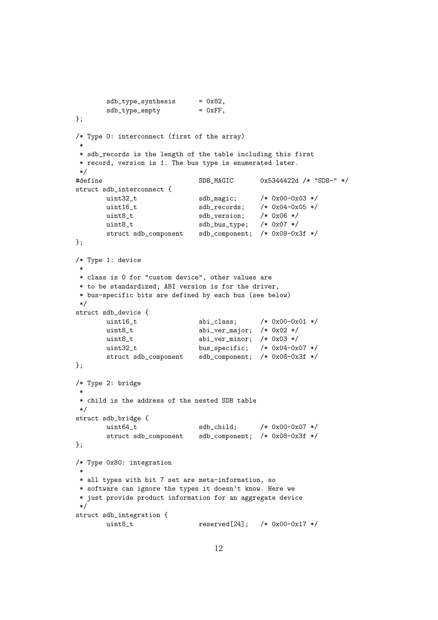```
sdb_type_synthesis = 0x82,sdb_type\rule{0.1cm}{0.0cm} = 0xFF,};
/* Type 0: interconnect (first of the array)
 *
 * sdb_records is the length of the table including this first
 * record, version is 1. The bus type is enumerated later.
 */
#define SDB_MAGIC 0x5344422d /* "SDB-" */
struct sdb_interconnect {
       uint32_t sdb_magic; /* 0x00-0x03 */
       uint16_t sdb_records; /* 0x04-0x05 */<br>uint8_t sdb_version; /* 0x06 */uint8_t sdb_version;
       uint8_t sdb_bus_type; /* 0x07 */
       struct sdb_component sdb_component; /* 0x08-0x3f */
};
/* Type 1: device
 *
 * class is 0 for "custom device", other values are
 * to be standardized; ABI version is for the driver,
 * bus-specific bits are defined by each bus (see below)
 */
struct sdb_device {
       uint16_t <br>abi_class; /* 0x00-0x01 */
       uint8_t <br>abi_ver_major; /* 0x02 */
       uint8_t <br>abi_ver_minor; /* 0x03 */
       uint32_t bus_specific; /* 0x04-0x07 */
       struct sdb_component sdb_component; /* 0x08-0x3f */
};
/* Type 2: bridge
 *
 * child is the address of the nested SDB table
 */
struct sdb_bridge {
       uint64_t sdb_child; /* 0x00-0x07 */
       struct sdb_component sdb_component; /* 0x08-0x3f */
};
/* Type 0x80: integration
 *
 * all types with bit 7 set are meta-information, so
 * software can ignore the types it doesn't know. Here we
 * just provide product information for an aggregate device
 */
struct sdb_integration {
       uint8_t reserved[24]; /* 0x00-0x17 */
```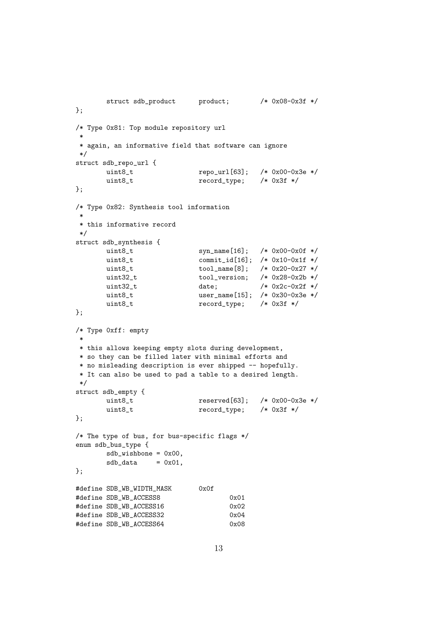```
struct sdb_product product; /* 0x08-0x3f */
};
/* Type 0x81: Top module repository url
 *
* again, an informative field that software can ignore
*/
struct sdb_repo_url {
      uint8_t repo_url[63]; /* 0x00-0x3e */
      uint8_t record_type; /* 0x3f */
};
/* Type 0x82: Synthesis tool information
 *
* this informative record
*/
struct sdb_synthesis {
      uint8_t syn_name[16]; /* 0x00-0x0f */
      uint8_t commit_id[16]; /* 0x10-0x1f */uint8_t tool_name[8]; /* 0x20-0x27 */
      uint32_t tool_version; /* 0x28-0x2b */
      uint32_t date; /* 0x2c-0x2f */
      uint8_t user_name[15]; /* 0x30-0x3e */
      uint8_t record_type; /* 0x3f */
\cdot/* Type 0xff: empty
 *
* this allows keeping empty slots during development,
* so they can be filled later with minimal efforts and
* no misleading description is ever shipped -- hopefully.
* It can also be used to pad a table to a desired length.
*/
struct sdb_empty {
      uint8_t reserved[63]; /* 0x00-0x3e */
      uint8_t record_type; /* 0x3f */
};
/* The type of bus, for bus-specific flags */
enum sdb_bus_type {
      sdb_wishbone = 0x00,sdb_data = 0x01,
};
#define SDB_WB_WIDTH_MASK 0x0f
#define SDB_WB_ACCESS8 0x01
#define SDB_WB_ACCESS16 0x02
#define SDB_WB_ACCESS32 0x04
#define SDB_WB_ACCESS64 0x08
```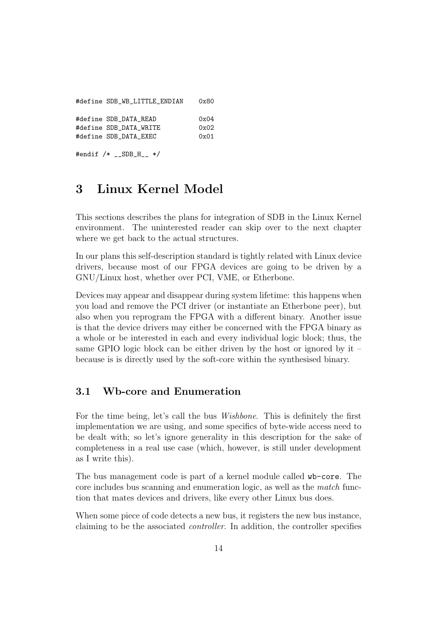| #define SDB_WB_LITTLE_ENDIAN | 0x80 |
|------------------------------|------|
| #define SDB DATA READ        | 0x04 |
| #define SDB DATA WRITE       | 0x02 |
| #define SDB DATA EXEC        | 0x01 |
| #endif $/*$ _SDB_H_ $*/$     |      |

## **3 Linux Kernel Model**

This sections describes the plans for integration of SDB in the Linux Kernel environment. The uninterested reader can skip over to the next chapter where we get back to the actual structures.

In our plans this self-description standard is tightly related with Linux device drivers, because most of our FPGA devices are going to be driven by a GNU/Linux host, whether over PCI, VME, or Etherbone.

Devices may appear and disappear during system lifetime: this happens when you load and remove the PCI driver (or instantiate an Etherbone peer), but also when you reprogram the FPGA with a different binary. Another issue is that the device drivers may either be concerned with the FPGA binary as a whole or be interested in each and every individual logic block; thus, the same GPIO logic block can be either driven by the host or ignored by it – because is is directly used by the soft-core within the synthesised binary.

### **3.1 Wb-core and Enumeration**

For the time being, let's call the bus *Wishbone*. This is definitely the first implementation we are using, and some specifics of byte-wide access need to be dealt with; so let's ignore generality in this description for the sake of completeness in a real use case (which, however, is still under development as I write this).

The bus management code is part of a kernel module called wb-core. The core includes bus scanning and enumeration logic, as well as the *match* function that mates devices and drivers, like every other Linux bus does.

When some piece of code detects a new bus, it registers the new bus instance, claiming to be the associated *controller*. In addition, the controller specifies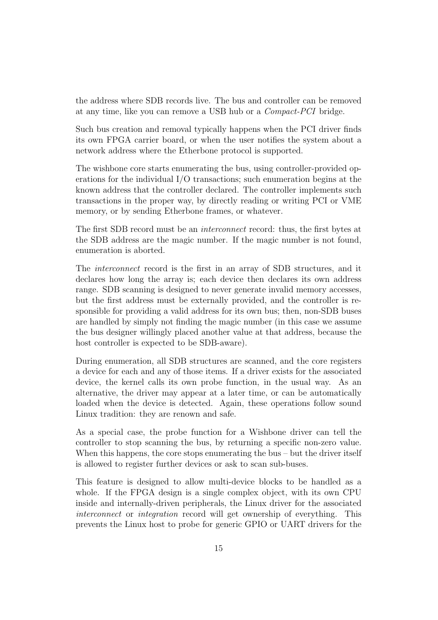the address where SDB records live. The bus and controller can be removed at any time, like you can remove a USB hub or a *Compact-PCI* bridge.

Such bus creation and removal typically happens when the PCI driver finds its own FPGA carrier board, or when the user notifies the system about a network address where the Etherbone protocol is supported.

The wishbone core starts enumerating the bus, using controller-provided operations for the individual I/O transactions; such enumeration begins at the known address that the controller declared. The controller implements such transactions in the proper way, by directly reading or writing PCI or VME memory, or by sending Etherbone frames, or whatever.

The first SDB record must be an *interconnect* record: thus, the first bytes at the SDB address are the magic number. If the magic number is not found, enumeration is aborted.

The *interconnect* record is the first in an array of SDB structures, and it declares how long the array is; each device then declares its own address range. SDB scanning is designed to never generate invalid memory accesses, but the first address must be externally provided, and the controller is responsible for providing a valid address for its own bus; then, non-SDB buses are handled by simply not finding the magic number (in this case we assume the bus designer willingly placed another value at that address, because the host controller is expected to be SDB-aware).

During enumeration, all SDB structures are scanned, and the core registers a device for each and any of those items. If a driver exists for the associated device, the kernel calls its own probe function, in the usual way. As an alternative, the driver may appear at a later time, or can be automatically loaded when the device is detected. Again, these operations follow sound Linux tradition: they are renown and safe.

As a special case, the probe function for a Wishbone driver can tell the controller to stop scanning the bus, by returning a specific non-zero value. When this happens, the core stops enumerating the bus – but the driver itself is allowed to register further devices or ask to scan sub-buses.

This feature is designed to allow multi-device blocks to be handled as a whole. If the FPGA design is a single complex object, with its own CPU inside and internally-driven peripherals, the Linux driver for the associated *interconnect* or *integration* record will get ownership of everything. This prevents the Linux host to probe for generic GPIO or UART drivers for the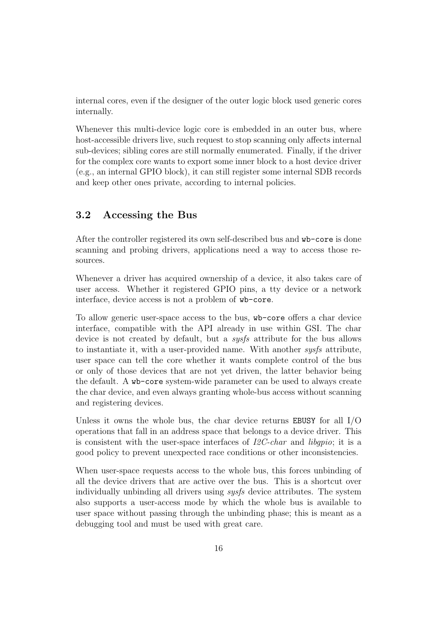internal cores, even if the designer of the outer logic block used generic cores internally.

Whenever this multi-device logic core is embedded in an outer bus, where host-accessible drivers live, such request to stop scanning only affects internal sub-devices; sibling cores are still normally enumerated. Finally, if the driver for the complex core wants to export some inner block to a host device driver (e.g., an internal GPIO block), it can still register some internal SDB records and keep other ones private, according to internal policies.

## **3.2 Accessing the Bus**

After the controller registered its own self-described bus and wb-core is done scanning and probing drivers, applications need a way to access those resources.

Whenever a driver has acquired ownership of a device, it also takes care of user access. Whether it registered GPIO pins, a tty device or a network interface, device access is not a problem of wb-core.

To allow generic user-space access to the bus, wb-core offers a char device interface, compatible with the API already in use within GSI. The char device is not created by default, but a *sysfs* attribute for the bus allows to instantiate it, with a user-provided name. With another *sysfs* attribute, user space can tell the core whether it wants complete control of the bus or only of those devices that are not yet driven, the latter behavior being the default. A wb-core system-wide parameter can be used to always create the char device, and even always granting whole-bus access without scanning and registering devices.

Unless it owns the whole bus, the char device returns EBUSY for all I/O operations that fall in an address space that belongs to a device driver. This is consistent with the user-space interfaces of *I2C-char* and *libgpio*; it is a good policy to prevent unexpected race conditions or other inconsistencies.

When user-space requests access to the whole bus, this forces unbinding of all the device drivers that are active over the bus. This is a shortcut over individually unbinding all drivers using *sysfs* device attributes. The system also supports a user-access mode by which the whole bus is available to user space without passing through the unbinding phase; this is meant as a debugging tool and must be used with great care.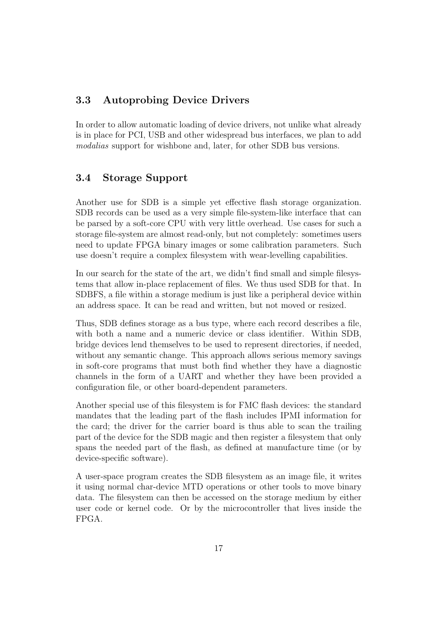## **3.3 Autoprobing Device Drivers**

In order to allow automatic loading of device drivers, not unlike what already is in place for PCI, USB and other widespread bus interfaces, we plan to add *modalias* support for wishbone and, later, for other SDB bus versions.

## **3.4 Storage Support**

Another use for SDB is a simple yet effective flash storage organization. SDB records can be used as a very simple file-system-like interface that can be parsed by a soft-core CPU with very little overhead. Use cases for such a storage file-system are almost read-only, but not completely: sometimes users need to update FPGA binary images or some calibration parameters. Such use doesn't require a complex filesystem with wear-levelling capabilities.

In our search for the state of the art, we didn't find small and simple filesystems that allow in-place replacement of files. We thus used SDB for that. In SDBFS, a file within a storage medium is just like a peripheral device within an address space. It can be read and written, but not moved or resized.

Thus, SDB defines storage as a bus type, where each record describes a file, with both a name and a numeric device or class identifier. Within SDB, bridge devices lend themselves to be used to represent directories, if needed, without any semantic change. This approach allows serious memory savings in soft-core programs that must both find whether they have a diagnostic channels in the form of a UART and whether they have been provided a configuration file, or other board-dependent parameters.

Another special use of this filesystem is for FMC flash devices: the standard mandates that the leading part of the flash includes IPMI information for the card; the driver for the carrier board is thus able to scan the trailing part of the device for the SDB magic and then register a filesystem that only spans the needed part of the flash, as defined at manufacture time (or by device-specific software).

A user-space program creates the SDB filesystem as an image file, it writes it using normal char-device MTD operations or other tools to move binary data. The filesystem can then be accessed on the storage medium by either user code or kernel code. Or by the microcontroller that lives inside the FPGA.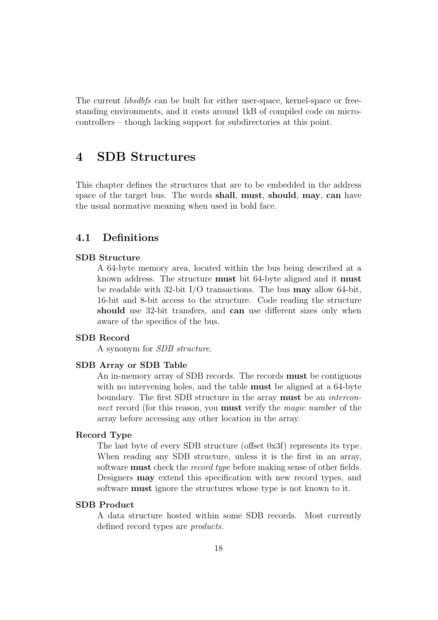The current *libsdbfs* can be built for either user-space, kernel-space or freestanding environments, and it costs around 1kB of compiled code on microcontrollers – though lacking support for subdirectories at this point.

## **4 SDB Structures**

This chapter defines the structures that are to be embedded in the address space of the target bus. The words **shall**, **must**, **should**, **may**, **can** have the usual normative meaning when used in bold face.

## **4.1 Definitions**

#### **SDB Structure**

A 64-byte memory area, located within the bus being described at a known address. The structure **must** bit 64-byte aligned and it **must** be readable with 32-bit I/O transactions. The bus **may** allow 64-bit, 16-bit and 8-bit access to the structure. Code reading the structure **should** use 32-bit transfers, and **can** use different sizes only when aware of the specifics of the bus.

#### **SDB Record**

A synonym for *SDB structure*.

#### **SDB Array or SDB Table**

An in-memory array of SDB records. The records **must** be contiguous with no intervening holes, and the table **must** be aligned at a 64-byte boundary. The first SDB structure in the array **must** be an *interconnect* record (for this reason, you **must** verify the *magic number* of the array before accessing any other location in the array.

#### **Record Type**

The last byte of every SDB structure (offset 0x3f) represents its type. When reading any SDB structure, unless it is the first in an array, software **must** check the *record type* before making sense of other fields. Designers **may** extend this specification with new record types, and software **must** ignore the structures whose type is not known to it.

#### **SDB Product**

A data structure hosted within some SDB records. Most currently defined record types are *products*.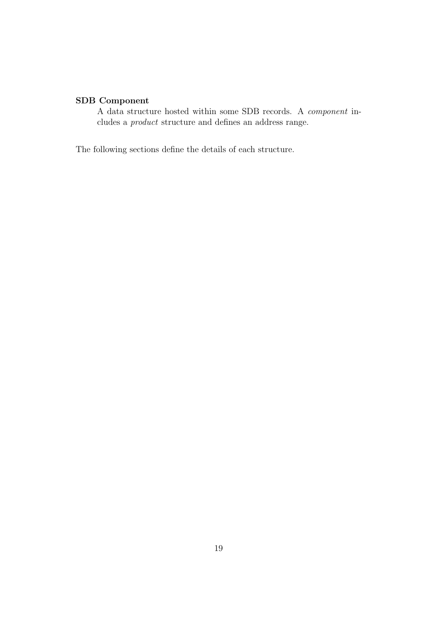## **SDB Component**

A data structure hosted within some SDB records. A *component* includes a *product* structure and defines an address range.

The following sections define the details of each structure.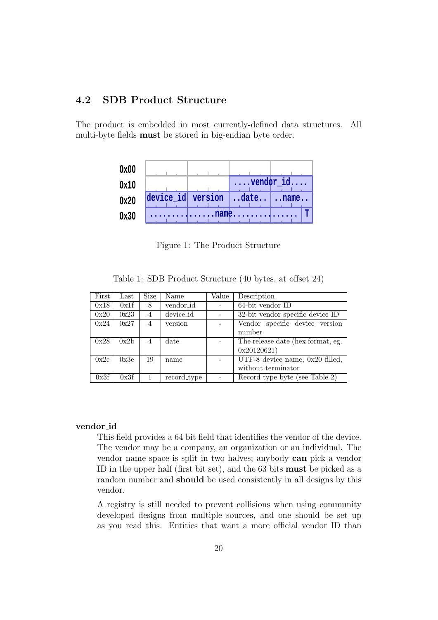## **4.2 SDB Product Structure**

The product is embedded in most currently-defined data structures. All multi-byte fields **must** be stored in big-endian byte order.

| 0x00 |                                 |                             |            |
|------|---------------------------------|-----------------------------|------------|
| 0x10 |                                 | $\ldots$ vendor $id \ldots$ |            |
| 0x20 | device_id version   date   name |                             |            |
| 0x30 |                                 | . name.                     | $\sqrt{T}$ |

Figure 1: The Product Structure

Table 1: SDB Product Structure (40 bytes, at offset 24)

| First | Last | Size           | Name        | Value | Description                                         |
|-------|------|----------------|-------------|-------|-----------------------------------------------------|
| 0x18  | 0x1f | 8              | vendor_id   |       | 64-bit vendor ID                                    |
| 0x20  | 0x23 | 4              | device_id   |       | 32-bit vendor specific device ID                    |
| 0x24  | 0x27 | $\overline{4}$ | version     |       | Vendor specific device version                      |
|       |      |                |             |       | number                                              |
| 0x28  | 0x2b | 4              | date        |       | The release date (hex format, eg.                   |
|       |      |                |             |       | 0x20120621)                                         |
| 0x2c  | 0x3e | 19             | name        |       | $\overline{\text{UTF-8}}$ device name, 0x20 filled, |
|       |      |                |             |       | without terminator                                  |
| 0x3f  | 0x3f |                | record_type |       | Record type byte (see Table 2)                      |

#### **vendor id**

This field provides a 64 bit field that identifies the vendor of the device. The vendor may be a company, an organization or an individual. The vendor name space is split in two halves; anybody **can** pick a vendor ID in the upper half (first bit set), and the 63 bits **must** be picked as a random number and **should** be used consistently in all designs by this vendor.

A registry is still needed to prevent collisions when using community developed designs from multiple sources, and one should be set up as you read this. Entities that want a more official vendor ID than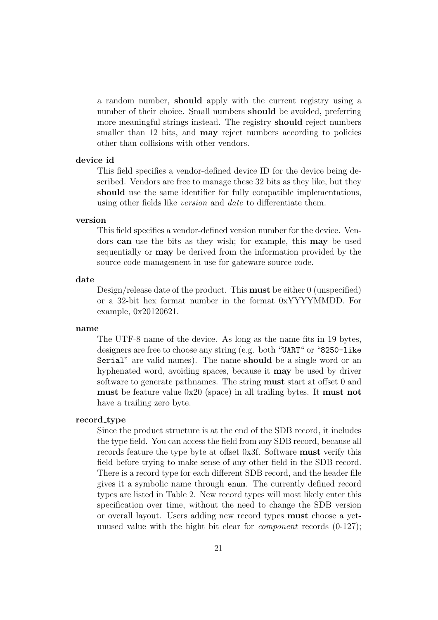a random number, **should** apply with the current registry using a number of their choice. Small numbers **should** be avoided, preferring more meaningful strings instead. The registry **should** reject numbers smaller than 12 bits, and **may** reject numbers according to policies other than collisions with other vendors.

#### **device id**

This field specifies a vendor-defined device ID for the device being described. Vendors are free to manage these 32 bits as they like, but they **should** use the same identifier for fully compatible implementations, using other fields like *version* and *date* to differentiate them.

#### **version**

This field specifies a vendor-defined version number for the device. Vendors **can** use the bits as they wish; for example, this **may** be used sequentially or **may** be derived from the information provided by the source code management in use for gateware source code.

#### **date**

Design/release date of the product. This **must** be either 0 (unspecified) or a 32-bit hex format number in the format 0xYYYYMMDD. For example, 0x20120621.

#### **name**

The UTF-8 name of the device. As long as the name fits in 19 bytes, designers are free to choose any string (e.g. both "UART" or "8250-like Serial" are valid names). The name **should** be a single word or an hyphenated word, avoiding spaces, because it **may** be used by driver software to generate pathnames. The string **must** start at offset 0 and **must** be feature value 0x20 (space) in all trailing bytes. It **must not** have a trailing zero byte.

#### **record type**

Since the product structure is at the end of the SDB record, it includes the type field. You can access the field from any SDB record, because all records feature the type byte at offset 0x3f. Software **must** verify this field before trying to make sense of any other field in the SDB record. There is a record type for each different SDB record, and the header file gives it a symbolic name through enum. The currently defined record types are listed in Table 2. New record types will most likely enter this specification over time, without the need to change the SDB version or overall layout. Users adding new record types **must** choose a yetunused value with the hight bit clear for *component* records (0-127);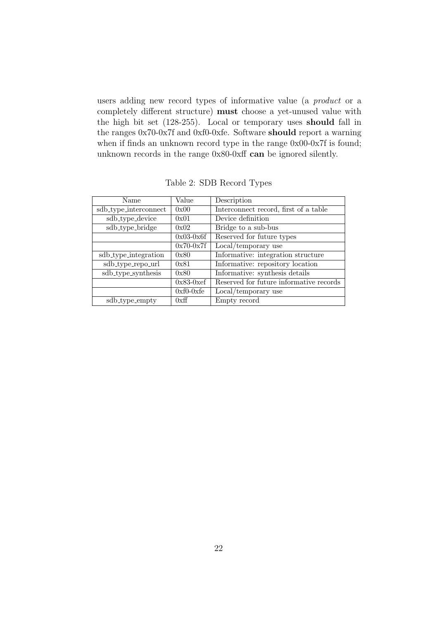users adding new record types of informative value (a *product* or a completely different structure) **must** choose a yet-unused value with the high bit set (128-255). Local or temporary uses **should** fall in the ranges 0x70-0x7f and 0xf0-0xfe. Software **should** report a warning when if finds an unknown record type in the range  $0x00-0x7f$  is found; unknown records in the range 0x80-0xff **can** be ignored silently.

| Name                  | Value       | Description                             |
|-----------------------|-------------|-----------------------------------------|
| sdb_type_interconnect | 0x00        | Interconnect record, first of a table   |
| sdb_type_device       | 0x01        | Device definition                       |
| sdb_type_bridge       | 0x02        | Bridge to a sub-bus                     |
|                       | $0x03-0x6f$ | Reserved for future types               |
|                       | $0x70-0x7f$ | Local/temporary use                     |
| sdb_type_integration  | 0x80        | Informative: integration structure      |
| sdb_type_repo_url     | 0x81        | Informative: repository location        |
| sdb_type_synthesis    | 0x80        | Informative: synthesis details          |
|                       | $0x83-0xcf$ | Reserved for future informative records |
|                       | $0xf0-0xfe$ | Local/temporary use                     |
| sdb_type_empty        | 0xff        | Empty record                            |

Table 2: SDB Record Types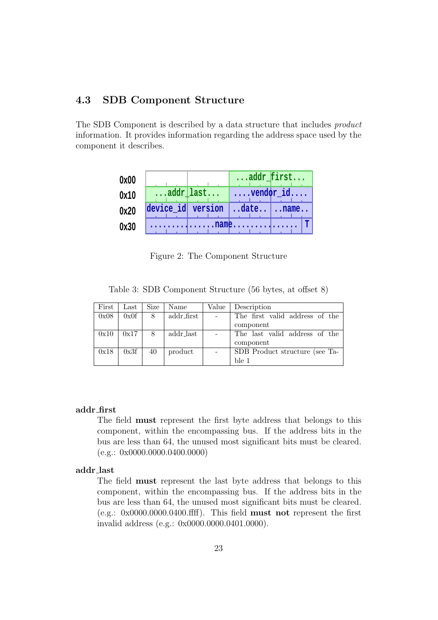## **4.3 SDB Component Structure**

The SDB Component is described by a data structure that includes *product* information. It provides information regarding the address space used by the component it describes.

| 0x00 |                                 | addr_first         |
|------|---------------------------------|--------------------|
| 0x10 | $\ldots$ addr $\lfloor$ last    | $ \dots$ vendor_id |
| 0x20 | device_id version   date   name |                    |
| 0x30 |                                 |                    |

Figure 2: The Component Structure

Table 3: SDB Component Structure (56 bytes, at offset 8)

| First | $\operatorname{Last}$ | Size | Name       | Value | Description                    |
|-------|-----------------------|------|------------|-------|--------------------------------|
| 0x08  | 0x0f                  | 8    | addr_first |       | The first valid address of the |
|       |                       |      |            |       | component                      |
| 0x10  | 0x17                  | 8    | addr_last  |       | The last valid address of the  |
|       |                       |      |            |       | component                      |
| 0x18  | 0x3f                  | 40   | product    |       | SDB Product structure (see Ta- |
|       |                       |      |            |       | ble 1                          |

#### **addr first**

The field **must** represent the first byte address that belongs to this component, within the encompassing bus. If the address bits in the bus are less than 64, the unused most significant bits must be cleared.  $(e.g.: 0x0000.0000.0400.0000)$ 

#### **addr last**

The field **must** represent the last byte address that belongs to this component, within the encompassing bus. If the address bits in the bus are less than 64, the unused most significant bits must be cleared. (e.g.: 0x0000.0000.0400.ffff). This field **must not** represent the first invalid address (e.g.: 0x0000.0000.0401.0000).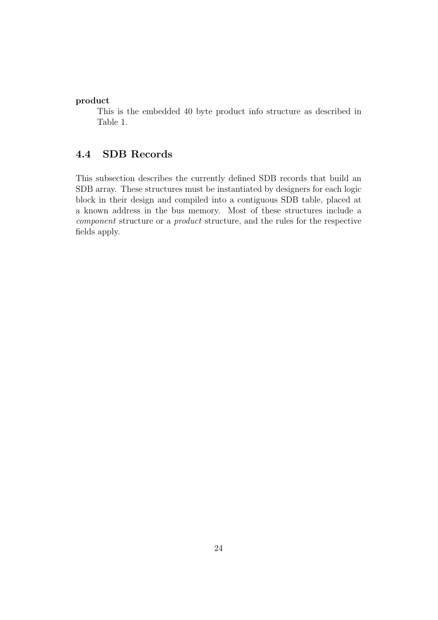#### **product**

This is the embedded 40 byte product info structure as described in Table 1.

## **4.4 SDB Records**

This subsection describes the currently defined SDB records that build an SDB array. These structures must be instantiated by designers for each logic block in their design and compiled into a contiguous SDB table, placed at a known address in the bus memory. Most of these structures include a *component* structure or a *product* structure, and the rules for the respective fields apply.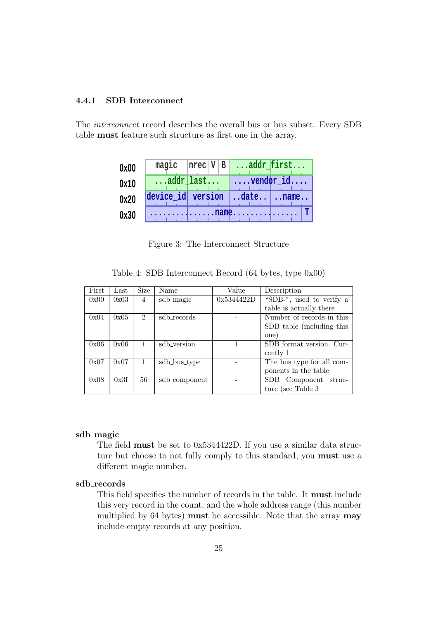### **4.4.1 SDB Interconnect**

The *interconnect* record describes the overall bus or bus subset. Every SDB table **must** feature such structure as first one in the array.

| 0x00 | magic | $ nrec V B $ addr first                          |
|------|-------|--------------------------------------------------|
| 0x10 |       | $\ldots$ addr [last   $\ldots$ vendor _id        |
| 0x20 |       | $ {\text{device}_id} $ version $ $ date $ $ name |
| 0x30 |       | . name. T                                        |

Figure 3: The Interconnect Structure

|  | Table 4: SDB Interconnect Record (64 bytes, type 0x00) |  |  |  |
|--|--------------------------------------------------------|--|--|--|
|  |                                                        |  |  |  |

| First | $\operatorname{Last}$ | Size           | Name          | Value      | Description               |
|-------|-----------------------|----------------|---------------|------------|---------------------------|
| 0x00  | 0x03                  | 4              | sdb_magic     | 0x5344422D | "SDB-", used to verify a  |
|       |                       |                |               |            | table is actually there   |
| 0x04  | 0x05                  | $\mathfrak{D}$ | sdb_records   |            | Number of records in this |
|       |                       |                |               |            | SDB table (including this |
|       |                       |                |               |            | one)                      |
| 0x06  | 0x06                  |                | sdb_version   |            | SDB format version. Cur-  |
|       |                       |                |               |            | rently 1                  |
| 0x07  | 0x07                  |                | sdb_bus_type  |            | The bus type for all com- |
|       |                       |                |               |            | ponents in the table      |
| 0x08  | 0x3f                  | 56             | sdb_component |            | SDB Component struc-      |
|       |                       |                |               |            | ture (see Table 3)        |

#### **sdb magic**

The field **must** be set to 0x5344422D. If you use a similar data structure but choose to not fully comply to this standard, you **must** use a different magic number.

## **sdb records**

This field specifies the number of records in the table. It **must** include this very record in the count, and the whole address range (this number multiplied by 64 bytes) **must** be accessible. Note that the array **may** include empty records at any position.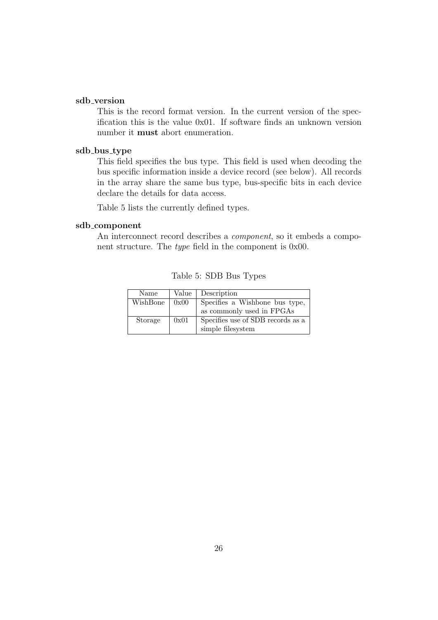#### **sdb version**

This is the record format version. In the current version of the specification this is the value 0x01. If software finds an unknown version number it **must** abort enumeration.

#### **sdb bus type**

This field specifies the bus type. This field is used when decoding the bus specific information inside a device record (see below). All records in the array share the same bus type, bus-specific bits in each device declare the details for data access.

Table 5 lists the currently defined types.

#### **sdb component**

An interconnect record describes a *component*, so it embeds a component structure. The *type* field in the component is 0x00.

| Name     | Value | Description                       |
|----------|-------|-----------------------------------|
| WishBone | 0x00  | Specifies a Wishbone bus type,    |
|          |       | as commonly used in FPGAs         |
| Storage  | 0x01  | Specifies use of SDB records as a |
|          |       | simple filesystem                 |

Table 5: SDB Bus Types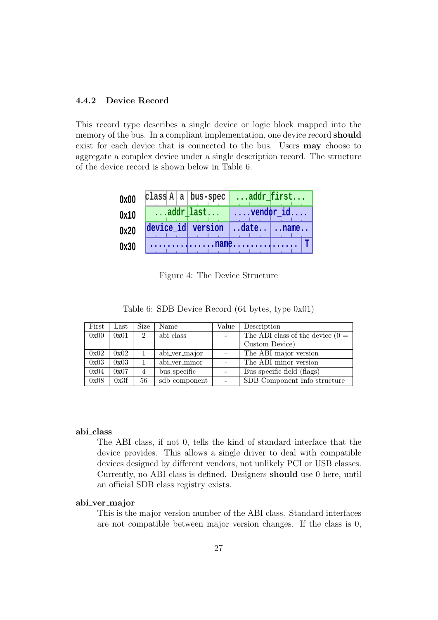#### **4.4.2 Device Record**

This record type describes a single device or logic block mapped into the memory of the bus. In a compliant implementation, one device record **should** exist for each device that is connected to the bus. Users **may** choose to aggregate a complex device under a single description record. The structure of the device record is shown below in Table 6.

| 0x00 | class $A   a   bus-spec   addr_first$                             |  |  |  |  |
|------|-------------------------------------------------------------------|--|--|--|--|
| 0x10 | $\ldots$ addr $\lfloor$ last $\lfloor \ldots$ vendor $\lfloor$ id |  |  |  |  |
| 0x20 | device_id version date name                                       |  |  |  |  |
| 0x30 | . name. T                                                         |  |  |  |  |

Figure 4: The Device Structure

|  |  | Table 6: SDB Device Record (64 bytes, type 0x01) |  |
|--|--|--------------------------------------------------|--|
|  |  |                                                  |  |

| First | $\operatorname{Last}$ | Size           | Name          | Value | Description                        |
|-------|-----------------------|----------------|---------------|-------|------------------------------------|
| 0x00  | 0x01                  | $\overline{2}$ | abi_class     |       | The ABI class of the device $(0 =$ |
|       |                       |                |               |       | Custom Device)                     |
| 0x02  | 0x02                  |                | abi_ver_major |       | The ABI major version              |
| 0x03  | 0x03                  | 1              | abi_ver_minor |       | The ABI minor version              |
| 0x04  | 0x07                  | $\overline{4}$ | bus_specific  |       | Bus specific field (flags)         |
| 0x08  | 0x3f                  | 56             | sdb_component |       | SDB Component Info structure       |

#### **abi class**

The ABI class, if not 0, tells the kind of standard interface that the device provides. This allows a single driver to deal with compatible devices designed by different vendors, not unlikely PCI or USB classes. Currently, no ABI class is defined. Designers **should** use 0 here, until an official SDB class registry exists.

#### **abi ver major**

This is the major version number of the ABI class. Standard interfaces are not compatible between major version changes. If the class is 0,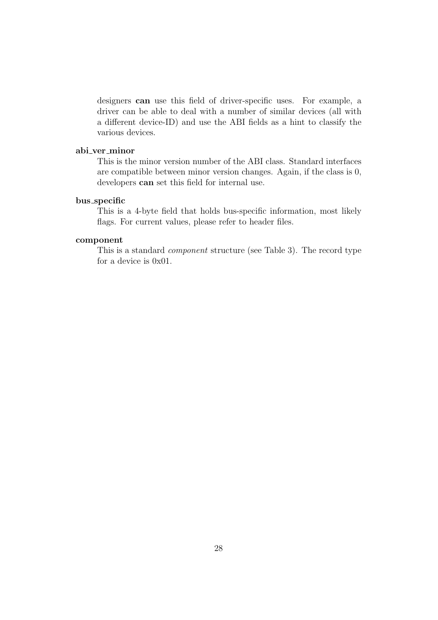designers **can** use this field of driver-specific uses. For example, a driver can be able to deal with a number of similar devices (all with a different device-ID) and use the ABI fields as a hint to classify the various devices.

#### **abi ver minor**

This is the minor version number of the ABI class. Standard interfaces are compatible between minor version changes. Again, if the class is 0, developers **can** set this field for internal use.

#### **bus specific**

This is a 4-byte field that holds bus-specific information, most likely flags. For current values, please refer to header files.

#### **component**

This is a standard *component* structure (see Table 3). The record type for a device is 0x01.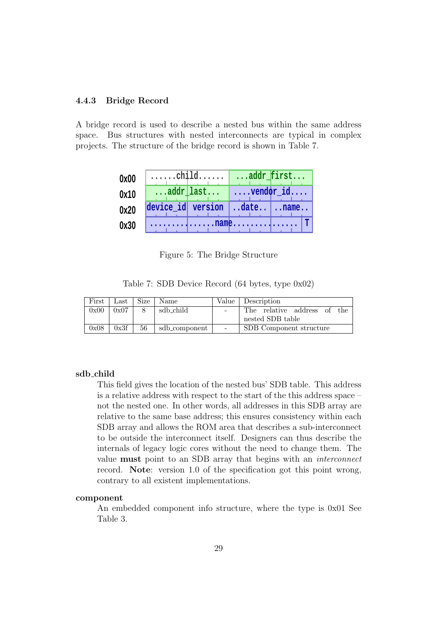### **4.4.3 Bridge Record**

A bridge record is used to describe a nested bus within the same address space. Bus structures with nested interconnects are typical in complex projects. The structure of the bridge record is shown in Table 7.

| 0x00 | $\ldots$ child $\ldots$ addr $f$ irst |                                       |
|------|---------------------------------------|---------------------------------------|
| 0x10 |                                       | $\ldots$ addr last $\ldots$ vendor id |
| 0x20 | device_id version date name           |                                       |
| 0x30 |                                       |                                       |

Figure 5: The Bridge Structure

|  |  | Table 7: SDB Device Record (64 bytes, type 0x02) |  |
|--|--|--------------------------------------------------|--|
|  |  |                                                  |  |

| First | Last | <b>Size</b> | Name                   | Value                    | Description                 |
|-------|------|-------------|------------------------|--------------------------|-----------------------------|
| 0x00  | 0x07 |             | sdb <sub>-</sub> child | $\equiv$                 | The relative address of the |
|       |      |             |                        |                          | nested SDB table            |
| 0x08  | 0x3f | 56          | sdb_component          | $\overline{\phantom{a}}$ | SDB Component structure     |

#### **sdb child**

This field gives the location of the nested bus' SDB table. This address is a relative address with respect to the start of the this address space – not the nested one. In other words, all addresses in this SDB array are relative to the same base address; this ensures consistency within each SDB array and allows the ROM area that describes a sub-interconnect to be outside the interconnect itself. Designers can thus describe the internals of legacy logic cores without the need to change them. The value **must** point to an SDB array that begins with an *interconnect* record. **Note**: version 1.0 of the specification got this point wrong, contrary to all existent implementations.

#### **component**

An embedded component info structure, where the type is 0x01 See Table 3.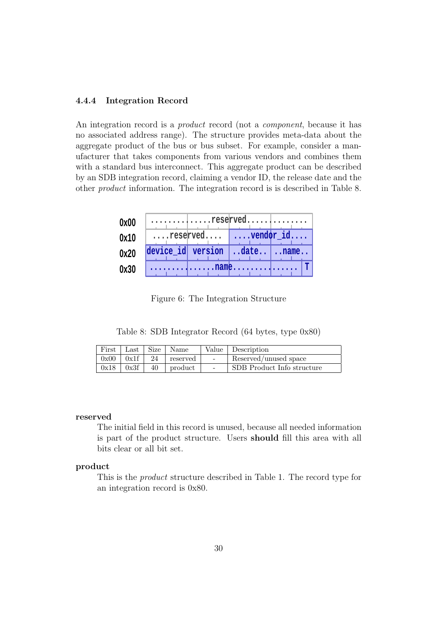#### **4.4.4 Integration Record**

An integration record is a *product* record (not a *component*, because it has no associated address range). The structure provides meta-data about the aggregate product of the bus or bus subset. For example, consider a manufacturer that takes components from various vendors and combines them with a standard bus interconnect. This aggregate product can be described by an SDB integration record, claiming a vendor ID, the release date and the other *product* information. The integration record is is described in Table 8.

| 0x00 | reserved                        |                               |  |  |
|------|---------------------------------|-------------------------------|--|--|
| 0x10 |                                 | $\dots$ reserved    vendor_id |  |  |
| 0x20 | device_id version   date   name |                               |  |  |
| 0x30 |                                 |                               |  |  |

Figure 6: The Integration Structure

Table 8: SDB Integrator Record (64 bytes, type 0x80)

|               | First   Last   Size   Name      |        | Value Description          |
|---------------|---------------------------------|--------|----------------------------|
|               | $0x00$   $0x1f$   24   reserved | $\sim$ | Reserved/unused space      |
| $0x18$ $0x3f$ | $40$   product                  | $\sim$ | SDB Product Info structure |

#### **reserved**

The initial field in this record is unused, because all needed information is part of the product structure. Users **should** fill this area with all bits clear or all bit set.

#### **product**

This is the *product* structure described in Table 1. The record type for an integration record is 0x80.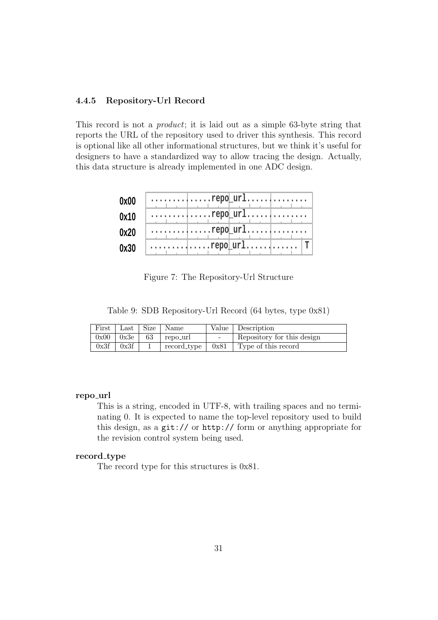#### **4.4.5 Repository-Url Record**

This record is not a *product*; it is laid out as a simple 63-byte string that reports the URL of the repository used to driver this synthesis. This record is optional like all other informational structures, but we think it's useful for designers to have a standardized way to allow tracing the design. Actually, this data structure is already implemented in one ADC design.

| 0x00 | $\ldots \ldots \ldots \ldots \text{repo\_url} \ldots \ldots \ldots$ |
|------|---------------------------------------------------------------------|
| 0x10 | $\ldots \ldots \ldots \ldots \text{repo\_url} \ldots \ldots$        |
| 0x20 | $\ldots \ldots \ldots \ldots \ldots \text{repo\_url} \ldots \ldots$ |
| 0x30 |                                                                     |

Figure 7: The Repository-Url Structure

Table 9: SDB Repository-Url Record (64 bytes, type 0x81)

| First   Last   Size   Name |                  |                                   | Value Description          |
|----------------------------|------------------|-----------------------------------|----------------------------|
|                            |                  | $0x00$   $0x3e$   $63$   repo_url | Repository for this design |
|                            | $0x3f \mid 0x3f$ | record_type                       | $0x81$ Type of this record |

#### **repo url**

This is a string, encoded in UTF-8, with trailing spaces and no terminating 0. It is expected to name the top-level repository used to build this design, as a git:// or http:// form or anything appropriate for the revision control system being used.

#### **record type**

The record type for this structures is 0x81.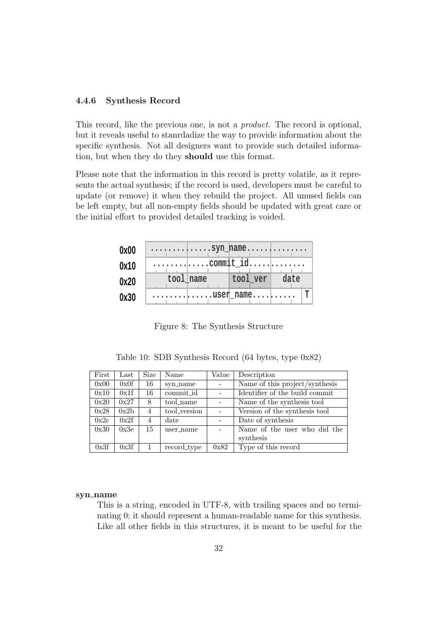#### **4.4.6 Synthesis Record**

This record, like the previous one, is not a *product*. The record is optional, but it reveals useful to stanrdadize the way to provide information about the specific synthesis. Not all designers want to provide such detailed information, but when they do they **should** use this format.

Please note that the information in this record is pretty volatile, as it represents the actual synthesis; if the record is used, developers must be careful to update (or remove) it when they rebuild the project. All unused fields can be left empty, but all non-empty fields should be updated with great care or the initial effort to provided detailed tracking is voided.

| 0x00 | $\ldots \ldots \ldots$  |   |
|------|-------------------------|---|
| 0x10 |                         |   |
| 0x20 | tool name tool ver date |   |
| 0x30 |                         | T |

Figure 8: The Synthesis Structure

Table 10: SDB Synthesis Record (64 bytes, type 0x82)

| First | $\operatorname{Last}$ | Size           | Name         | Value  | Description                    |  |
|-------|-----------------------|----------------|--------------|--------|--------------------------------|--|
| 0x00  | 0x0f                  | 16             | syn_name     | $\sim$ | Name of this project/synthesis |  |
| 0x10  | 0x1f                  | 16             | commit id    |        | Identifier of the build commit |  |
| 0x20  | 0x27                  | 8              | tool_name    |        | Name of the synthesis tool     |  |
| 0x28  | 0x2b                  | $\overline{4}$ | tool_version |        | Version of the synthesis tool  |  |
| 0x2c  | 0x2f                  | 4              | date         |        | Date of synthesis              |  |
| 0x30  | 0x3e                  | 15             | user_name    |        | Name of the user who did the   |  |
|       |                       |                |              |        | synthesis                      |  |
| 0x3f  | 0x3f                  |                | record_type  | 0x82   | Type of this record            |  |

#### **syn name**

This is a string, encoded in UTF-8, with trailing spaces and no terminating 0; it should represent a human-readable name for this synthesis. Like all other fields in this structures, it is meant to be useful for the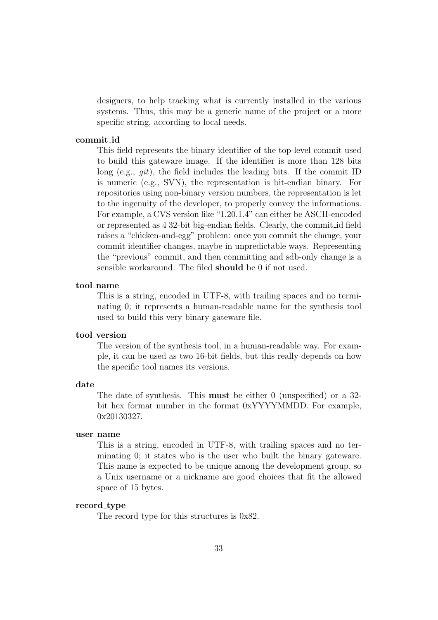designers, to help tracking what is currently installed in the various systems. Thus, this may be a generic name of the project or a more specific string, according to local needs.

#### **commit id**

This field represents the binary identifier of the top-level commit used to build this gateware image. If the identifier is more than 128 bits long (e.g., *git*), the field includes the leading bits. If the commit ID is numeric (e.g., SVN), the representation is bit-endian binary. For repositories using non-binary version numbers, the representation is let to the ingenuity of the developer, to properly convey the informations. For example, a CVS version like "1.20.1.4" can either be ASCII-encoded or represented as 4 32-bit big-endian fields. Clearly, the commit id field raises a "chicken-and-egg" problem: once you commit the change, your commit identifier changes, maybe in unpredictable ways. Representing the "previous" commit, and then committing and sdb-only change is a sensible workaround. The filed **should** be 0 if not used.

#### **tool name**

This is a string, encoded in UTF-8, with trailing spaces and no terminating 0; it represents a human-readable name for the synthesis tool used to build this very binary gateware file.

#### **tool version**

The version of the synthesis tool, in a human-readable way. For example, it can be used as two 16-bit fields, but this really depends on how the specific tool names its versions.

#### **date**

The date of synthesis. This **must** be either 0 (unspecified) or a 32 bit hex format number in the format 0xYYYYMMDD. For example, 0x20130327.

#### **user name**

This is a string, encoded in UTF-8, with trailing spaces and no terminating 0; it states who is the user who built the binary gateware. This name is expected to be unique among the development group, so a Unix username or a nickname are good choices that fit the allowed space of 15 bytes.

#### **record type**

The record type for this structures is 0x82.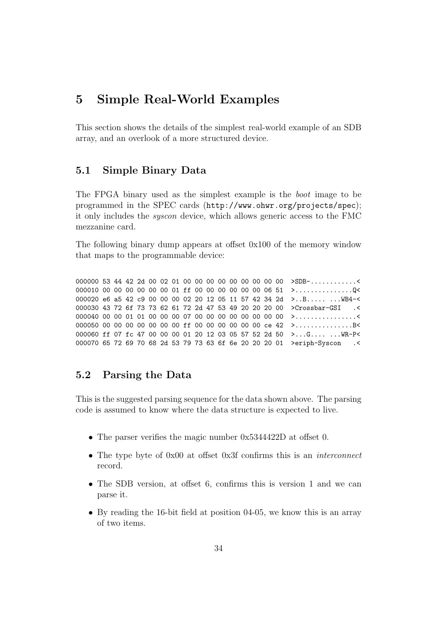## **5 Simple Real-World Examples**

This section shows the details of the simplest real-world example of an SDB array, and an overlook of a more structured device.

## **5.1 Simple Binary Data**

The FPGA binary used as the simplest example is the *boot* image to be programmed in the SPEC cards (http://www.ohwr.org/projects/spec); it only includes the *syscon* device, which allows generic access to the FMC mezzanine card.

The following binary dump appears at offset 0x100 of the memory window that maps to the programmable device:

000000 53 44 42 2d 00 02 01 00 00 00 00 00 00 00 00 00 >SDB-............< 000010 00 00 00 00 00 00 00 01 ff 00 00 00 00 00 00 06 51 >..................Q< 000020 e6 a5 42 c9 00 00 00 02 20 12 05 11 57 42 34 2d >..B..... ... WB4-< 000030 43 72 6f 73 73 62 61 72 2d 47 53 49 20 20 20 00 >Crossbar-GSI .< 000040 00 00 01 01 00 00 00 07 00 00 00 00 00 00 00 00 >................< 000050 00 00 00 00 00 00 00 ff 00 00 00 00 00 00 ce 42 >...............B< 000060 ff 07 fc 47 00 00 00 01 20 12 03 05 57 52 2d 50 >...G.... ...WR-P< 000070 65 72 69 70 68 2d 53 79 73 63 6f 6e 20 20 20 01 >eriph-Syscon .<

### **5.2 Parsing the Data**

This is the suggested parsing sequence for the data shown above. The parsing code is assumed to know where the data structure is expected to live.

- The parser verifies the magic number  $0x5344422D$  at offset 0.
- *•* The type byte of 0x00 at offset 0x3f confirms this is an *interconnect* record.
- The SDB version, at offset 6, confirms this is version 1 and we can parse it.
- *•* By reading the 16-bit field at position 04-05, we know this is an array of two items.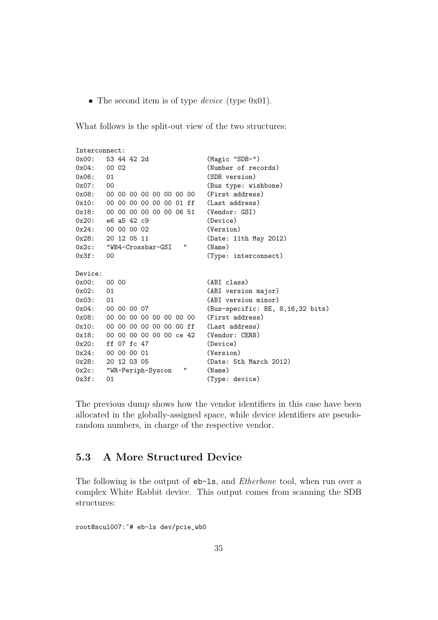• The second item is of type *device* (type 0x01).

What follows is the split-out view of the two structures:

```
Interconnect:
0x00: 53 44 42 2d (Magic "SDB-")
0x04: 00 02 (Number of records)
0x06: 01 (SDB version)
0x07: 00 (Bus type: wishbone)
0x08: 00 00 00 00 00 00 00 00 (First address)
0x10: 00 00 00 00 00 00 01 ff (Last address)
0x18: 00 00 00 00 00 00 06 51 (Vendor: GSI)
0x20: e6 a5 42 c9 (Device)
0x24: 00 00 00 02 (Version)
0x28: 20 12 05 11 (Date: 11th May 2012)
0x2c: "WB4-Crossbar-GSI " (Name)
0x3f: 00 (Type: interconnect)
Device:
0x00: 00 00 (ABI class)
0x02: 01 (ABI version major)
0x03: 01 (ABI version minor)
0x04: 00 00 00 07 (Bus-specific: BE, 8,16,32 bits)
0x08: 00 00 00 00 00 00 00 00 00 (First address)
0x10: 00 00 00 00 00 00 00 00 ff (Last address)
0x18: 00 00 00 00 00 00 ce 42 (Vendor: CERN)
0x20: ff 07 fc 47 (Device)
0x24: 00 00 00 01 (Version)
0x28: 20 12 03 05 (Date: 5th March 2012)
0x2c: "WR-Periph-Syscon " (Name)
0x3f: 01 (Type: device)
```
The previous dump shows how the vendor identifiers in this case have been allocated in the globally-assigned space, while device identifiers are pseudorandom numbers, in charge of the respective vendor.

## **5.3 A More Structured Device**

The following is the output of eb-ls, and *Etherbone* tool, when run over a complex White Rabbit device. This output comes from scanning the SDB structures:

root@scul007:~# eb-ls dev/pcie\_wb0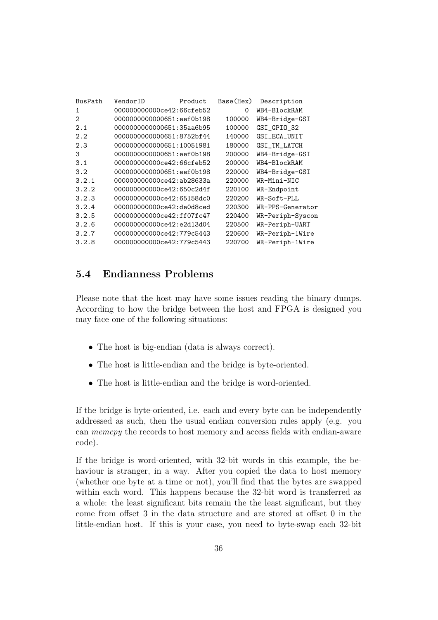| BusPath        | VendorID                  | Product | Base(Hex) | Description      |
|----------------|---------------------------|---------|-----------|------------------|
| 1              | 000000000000ce42:66cfeb52 |         | 0         | WB4-BlockRAM     |
| $\mathfrak{D}$ | 0000000000000651:eef0b198 |         | 100000    | WB4-Bridge-GSI   |
| 2.1            | 0000000000000651:35aa6b95 |         | 100000    | GSI_GPIO_32      |
| 2.2            | 0000000000000651:8752bf44 |         | 140000    | GSI_ECA_UNIT     |
| 2.3            | 0000000000000651:10051981 |         | 180000    | GSI_TM_LATCH     |
| 3              | 0000000000000651:eef0b198 |         | 200000    | WB4-Bridge-GSI   |
| 3.1            | 000000000000ce42:66cfeb52 |         | 200000    | WB4-BlockRAM     |
| 3.2            | 0000000000000651:eef0b198 |         | 220000    | WB4-Bridge-GSI   |
| 3.2.1          | 000000000000ce42:ab28633a |         | 220000    | WR-Mini-NIC      |
| 3.2.2          | 000000000000ce42:650c2d4f |         | 220100    | WR-Endpoint      |
| 3.2.3          | 000000000000ce42:65158dc0 |         | 220200    | WR-Soft-PLL      |
| 3.2.4          | 000000000000ce42:de0d8ced |         | 220300    | WR-PPS-Generator |
| 3.2.5          | 000000000000ce42:ff07fc47 |         | 220400    | WR-Periph-Syscon |
| 3.2.6          | 000000000000ce42:e2d13d04 |         | 220500    | WR-Periph-UART   |
| 3.2.7          | 000000000000ce42:779c5443 |         | 220600    | WR-Periph-1Wire  |
| 3.2.8          | 000000000000ce42:779c5443 |         | 220700    | WR-Periph-1Wire  |
|                |                           |         |           |                  |

## **5.4 Endianness Problems**

Please note that the host may have some issues reading the binary dumps. According to how the bridge between the host and FPGA is designed you may face one of the following situations:

- The host is big-endian (data is always correct).
- The host is little-endian and the bridge is byte-oriented.
- *•* The host is little-endian and the bridge is word-oriented.

If the bridge is byte-oriented, i.e. each and every byte can be independently addressed as such, then the usual endian conversion rules apply (e.g. you can *memcpy* the records to host memory and access fields with endian-aware code).

If the bridge is word-oriented, with 32-bit words in this example, the behaviour is stranger, in a way. After you copied the data to host memory (whether one byte at a time or not), you'll find that the bytes are swapped within each word. This happens because the 32-bit word is transferred as a whole: the least significant bits remain the the least significant, but they come from offset 3 in the data structure and are stored at offset 0 in the little-endian host. If this is your case, you need to byte-swap each 32-bit